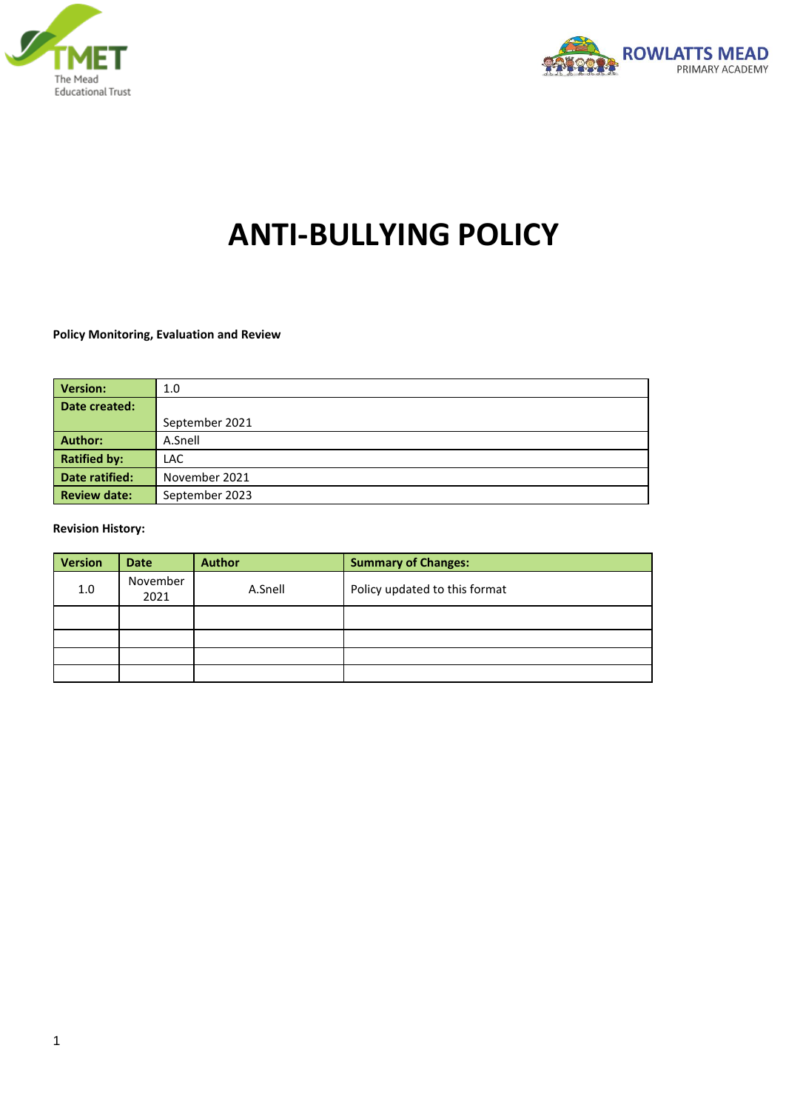



# **ANTI-BULLYING POLICY**

#### **Policy Monitoring, Evaluation and Review**

| <b>Version:</b>     | 1.0            |
|---------------------|----------------|
| Date created:       |                |
|                     | September 2021 |
| Author:             | A.Snell        |
| <b>Ratified by:</b> | LAC.           |
| Date ratified:      | November 2021  |
| <b>Review date:</b> | September 2023 |

#### **Revision History:**

| <b>Version</b> | <b>Date</b>      | <b>Author</b> | <b>Summary of Changes:</b>    |
|----------------|------------------|---------------|-------------------------------|
| 1.0            | November<br>2021 | A.Snell       | Policy updated to this format |
|                |                  |               |                               |
|                |                  |               |                               |
|                |                  |               |                               |
|                |                  |               |                               |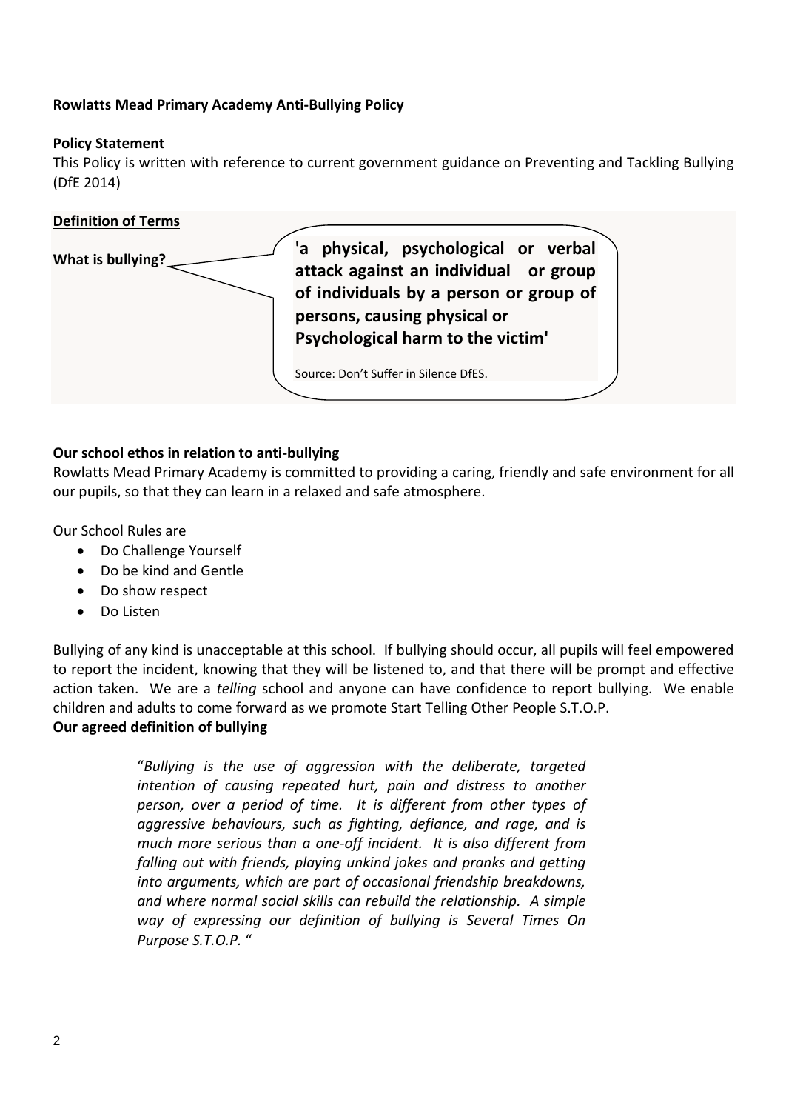## **Rowlatts Mead Primary Academy Anti-Bullying Policy**

## **Policy Statement**

This Policy is written with reference to current government guidance on Preventing and Tackling Bullying (DfE 2014)



#### **Our school ethos in relation to anti-bullying**

Rowlatts Mead Primary Academy is committed to providing a caring, friendly and safe environment for all our pupils, so that they can learn in a relaxed and safe atmosphere.

Our School Rules are

- Do Challenge Yourself
- Do be kind and Gentle
- Do show respect
- Do Listen

Bullying of any kind is unacceptable at this school. If bullying should occur, all pupils will feel empowered to report the incident, knowing that they will be listened to, and that there will be prompt and effective action taken. We are a *telling* school and anyone can have confidence to report bullying. We enable children and adults to come forward as we promote Start Telling Other People S.T.O.P. **Our agreed definition of bullying**

> "*Bullying is the use of aggression with the deliberate, targeted intention of causing repeated hurt, pain and distress to another person, over a period of time. It is different from other types of aggressive behaviours, such as fighting, defiance, and rage, and is much more serious than a one-off incident. It is also different from falling out with friends, playing unkind jokes and pranks and getting into arguments, which are part of occasional friendship breakdowns, and where normal social skills can rebuild the relationship. A simple way of expressing our definition of bullying is Several Times On Purpose S.T.O.P.* "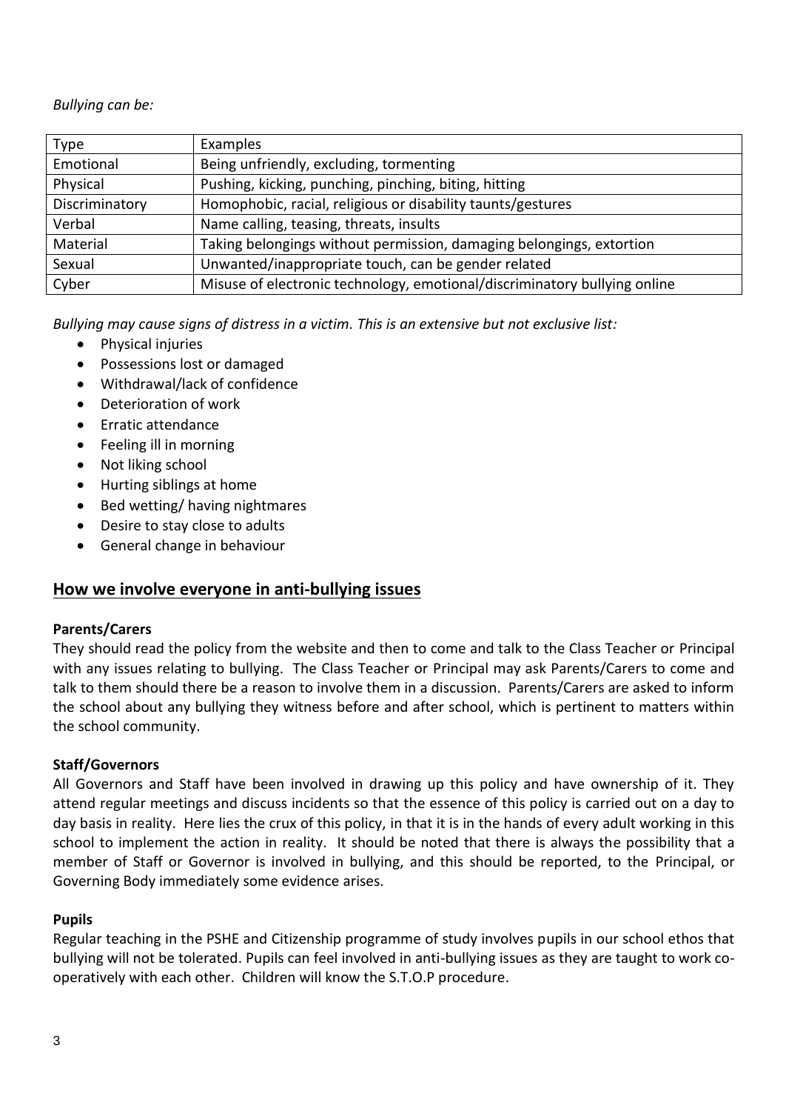*Bullying can be:*

| <b>Type</b>    | Examples                                                                  |
|----------------|---------------------------------------------------------------------------|
| Emotional      | Being unfriendly, excluding, tormenting                                   |
| Physical       | Pushing, kicking, punching, pinching, biting, hitting                     |
| Discriminatory | Homophobic, racial, religious or disability taunts/gestures               |
| Verbal         | Name calling, teasing, threats, insults                                   |
| Material       | Taking belongings without permission, damaging belongings, extortion      |
| Sexual         | Unwanted/inappropriate touch, can be gender related                       |
| Cyber          | Misuse of electronic technology, emotional/discriminatory bullying online |

*Bullying may cause signs of distress in a victim. This is an extensive but not exclusive list:*

- Physical injuries
- Possessions lost or damaged
- Withdrawal/lack of confidence
- Deterioration of work
- Erratic attendance
- Feeling ill in morning
- Not liking school
- Hurting siblings at home
- Bed wetting/ having nightmares
- Desire to stay close to adults
- General change in behaviour

## **How we involve everyone in anti-bullying issues**

## **Parents/Carers**

They should read the policy from the website and then to come and talk to the Class Teacher or Principal with any issues relating to bullying. The Class Teacher or Principal may ask Parents/Carers to come and talk to them should there be a reason to involve them in a discussion. Parents/Carers are asked to inform the school about any bullying they witness before and after school, which is pertinent to matters within the school community.

## **Staff/Governors**

All Governors and Staff have been involved in drawing up this policy and have ownership of it. They attend regular meetings and discuss incidents so that the essence of this policy is carried out on a day to day basis in reality. Here lies the crux of this policy, in that it is in the hands of every adult working in this school to implement the action in reality. It should be noted that there is always the possibility that a member of Staff or Governor is involved in bullying, and this should be reported, to the Principal, or Governing Body immediately some evidence arises.

## **Pupils**

Regular teaching in the PSHE and Citizenship programme of study involves pupils in our school ethos that bullying will not be tolerated. Pupils can feel involved in anti-bullying issues as they are taught to work cooperatively with each other. Children will know the S.T.O.P procedure.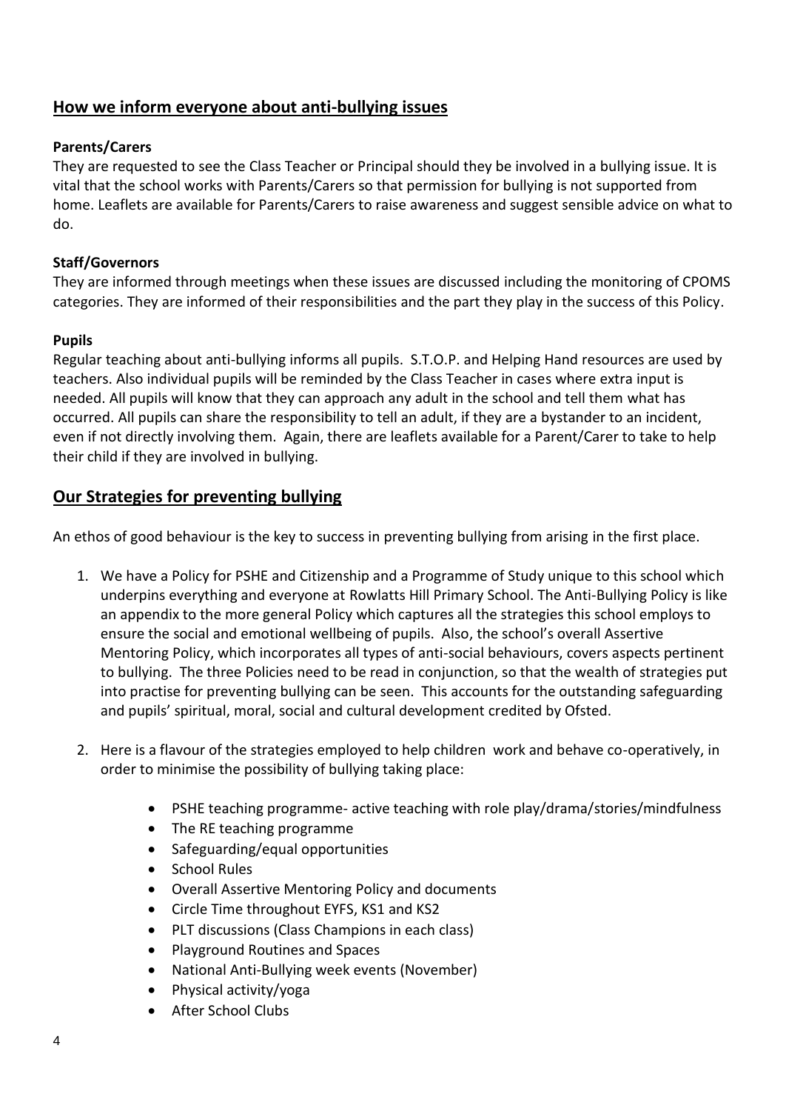# **How we inform everyone about anti-bullying issues**

## **Parents/Carers**

They are requested to see the Class Teacher or Principal should they be involved in a bullying issue. It is vital that the school works with Parents/Carers so that permission for bullying is not supported from home. Leaflets are available for Parents/Carers to raise awareness and suggest sensible advice on what to do.

#### **Staff/Governors**

They are informed through meetings when these issues are discussed including the monitoring of CPOMS categories. They are informed of their responsibilities and the part they play in the success of this Policy.

#### **Pupils**

Regular teaching about anti-bullying informs all pupils. S.T.O.P. and Helping Hand resources are used by teachers. Also individual pupils will be reminded by the Class Teacher in cases where extra input is needed. All pupils will know that they can approach any adult in the school and tell them what has occurred. All pupils can share the responsibility to tell an adult, if they are a bystander to an incident, even if not directly involving them. Again, there are leaflets available for a Parent/Carer to take to help their child if they are involved in bullying.

## **Our Strategies for preventing bullying**

An ethos of good behaviour is the key to success in preventing bullying from arising in the first place.

- 1. We have a Policy for PSHE and Citizenship and a Programme of Study unique to this school which underpins everything and everyone at Rowlatts Hill Primary School. The Anti-Bullying Policy is like an appendix to the more general Policy which captures all the strategies this school employs to ensure the social and emotional wellbeing of pupils. Also, the school's overall Assertive Mentoring Policy, which incorporates all types of anti-social behaviours, covers aspects pertinent to bullying. The three Policies need to be read in conjunction, so that the wealth of strategies put into practise for preventing bullying can be seen. This accounts for the outstanding safeguarding and pupils' spiritual, moral, social and cultural development credited by Ofsted.
- 2. Here is a flavour of the strategies employed to help children work and behave co-operatively, in order to minimise the possibility of bullying taking place:
	- PSHE teaching programme- active teaching with role play/drama/stories/mindfulness
	- The RE teaching programme
	- Safeguarding/equal opportunities
	- School Rules
	- Overall Assertive Mentoring Policy and documents
	- Circle Time throughout EYFS, KS1 and KS2
	- PLT discussions (Class Champions in each class)
	- Playground Routines and Spaces
	- National Anti-Bullying week events (November)
	- Physical activity/yoga
	- After School Clubs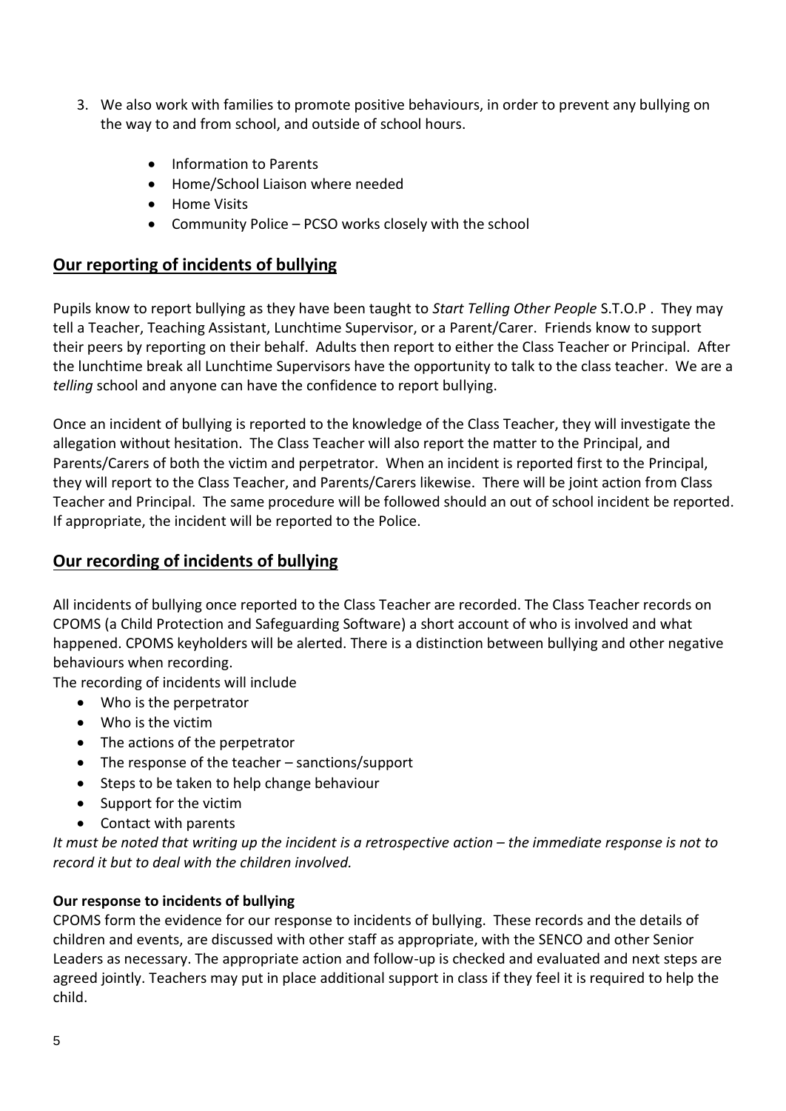- 3. We also work with families to promote positive behaviours, in order to prevent any bullying on the way to and from school, and outside of school hours.
	- Information to Parents
	- Home/School Liaison where needed
	- Home Visits
	- Community Police PCSO works closely with the school

## **Our reporting of incidents of bullying**

Pupils know to report bullying as they have been taught to *Start Telling Other People* S.T.O.P . They may tell a Teacher, Teaching Assistant, Lunchtime Supervisor, or a Parent/Carer. Friends know to support their peers by reporting on their behalf. Adults then report to either the Class Teacher or Principal. After the lunchtime break all Lunchtime Supervisors have the opportunity to talk to the class teacher. We are a *telling* school and anyone can have the confidence to report bullying.

Once an incident of bullying is reported to the knowledge of the Class Teacher, they will investigate the allegation without hesitation. The Class Teacher will also report the matter to the Principal, and Parents/Carers of both the victim and perpetrator. When an incident is reported first to the Principal, they will report to the Class Teacher, and Parents/Carers likewise. There will be joint action from Class Teacher and Principal. The same procedure will be followed should an out of school incident be reported. If appropriate, the incident will be reported to the Police.

## **Our recording of incidents of bullying**

All incidents of bullying once reported to the Class Teacher are recorded. The Class Teacher records on CPOMS (a Child Protection and Safeguarding Software) a short account of who is involved and what happened. CPOMS keyholders will be alerted. There is a distinction between bullying and other negative behaviours when recording.

The recording of incidents will include

- Who is the perpetrator
- Who is the victim
- The actions of the perpetrator
- The response of the teacher sanctions/support
- Steps to be taken to help change behaviour
- Support for the victim
- Contact with parents

*It must be noted that writing up the incident is a retrospective action – the immediate response is not to record it but to deal with the children involved.*

## **Our response to incidents of bullying**

CPOMS form the evidence for our response to incidents of bullying. These records and the details of children and events, are discussed with other staff as appropriate, with the SENCO and other Senior Leaders as necessary. The appropriate action and follow-up is checked and evaluated and next steps are agreed jointly. Teachers may put in place additional support in class if they feel it is required to help the child.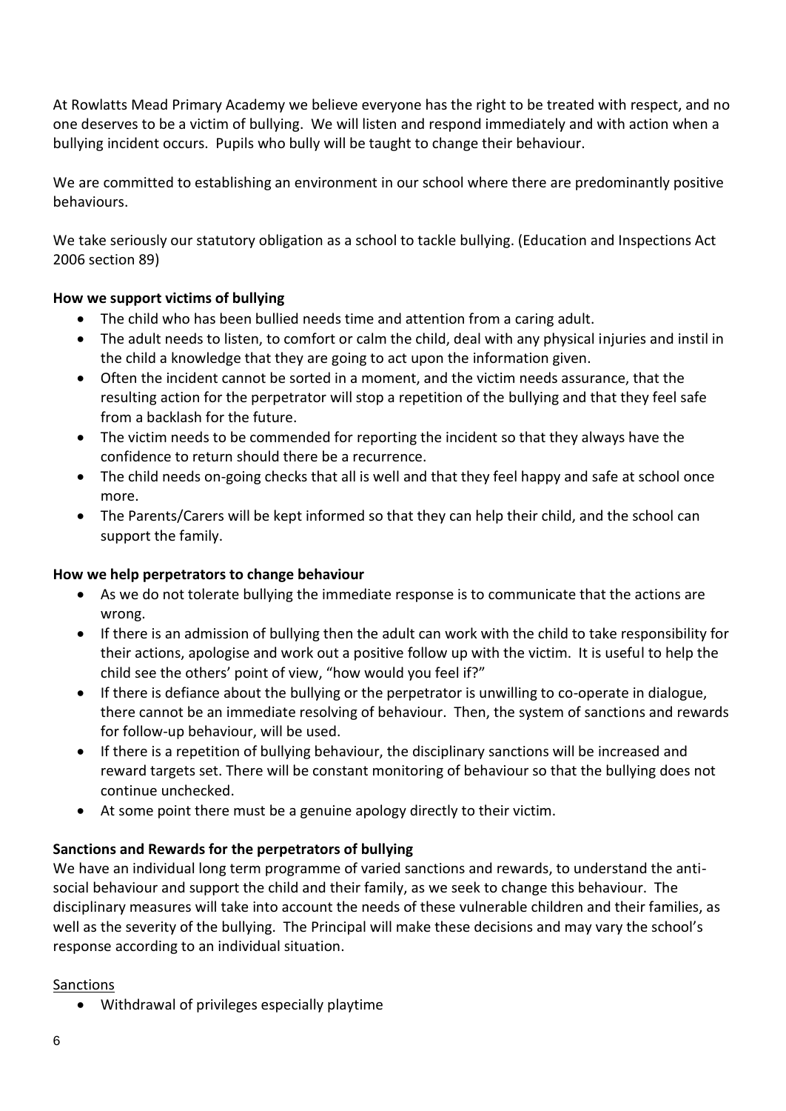At Rowlatts Mead Primary Academy we believe everyone has the right to be treated with respect, and no one deserves to be a victim of bullying. We will listen and respond immediately and with action when a bullying incident occurs. Pupils who bully will be taught to change their behaviour.

We are committed to establishing an environment in our school where there are predominantly positive behaviours.

We take seriously our statutory obligation as a school to tackle bullying. (Education and Inspections Act 2006 section 89)

## **How we support victims of bullying**

- The child who has been bullied needs time and attention from a caring adult.
- The adult needs to listen, to comfort or calm the child, deal with any physical injuries and instil in the child a knowledge that they are going to act upon the information given.
- Often the incident cannot be sorted in a moment, and the victim needs assurance, that the resulting action for the perpetrator will stop a repetition of the bullying and that they feel safe from a backlash for the future.
- The victim needs to be commended for reporting the incident so that they always have the confidence to return should there be a recurrence.
- The child needs on-going checks that all is well and that they feel happy and safe at school once more.
- The Parents/Carers will be kept informed so that they can help their child, and the school can support the family.

## **How we help perpetrators to change behaviour**

- As we do not tolerate bullying the immediate response is to communicate that the actions are wrong.
- If there is an admission of bullying then the adult can work with the child to take responsibility for their actions, apologise and work out a positive follow up with the victim. It is useful to help the child see the others' point of view, "how would you feel if?"
- If there is defiance about the bullying or the perpetrator is unwilling to co-operate in dialogue, there cannot be an immediate resolving of behaviour. Then, the system of sanctions and rewards for follow-up behaviour, will be used.
- If there is a repetition of bullying behaviour, the disciplinary sanctions will be increased and reward targets set. There will be constant monitoring of behaviour so that the bullying does not continue unchecked.
- At some point there must be a genuine apology directly to their victim.

## **Sanctions and Rewards for the perpetrators of bullying**

We have an individual long term programme of varied sanctions and rewards, to understand the antisocial behaviour and support the child and their family, as we seek to change this behaviour. The disciplinary measures will take into account the needs of these vulnerable children and their families, as well as the severity of the bullying. The Principal will make these decisions and may vary the school's response according to an individual situation.

## **Sanctions**

• Withdrawal of privileges especially playtime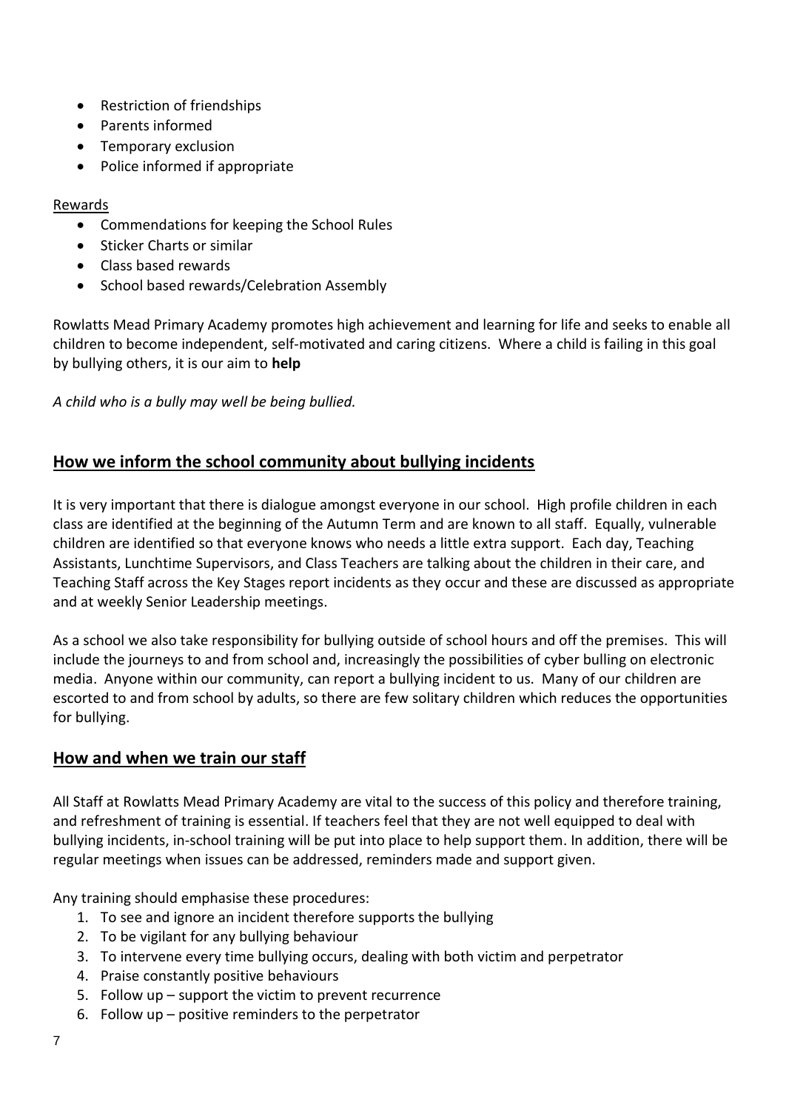- Restriction of friendships
- Parents informed
- Temporary exclusion
- Police informed if appropriate

## Rewards

- Commendations for keeping the School Rules
- Sticker Charts or similar
- Class based rewards
- School based rewards/Celebration Assembly

Rowlatts Mead Primary Academy promotes high achievement and learning for life and seeks to enable all children to become independent, self-motivated and caring citizens. Where a child is failing in this goal by bullying others, it is our aim to **help**

*A child who is a bully may well be being bullied.*

## **How we inform the school community about bullying incidents**

It is very important that there is dialogue amongst everyone in our school. High profile children in each class are identified at the beginning of the Autumn Term and are known to all staff. Equally, vulnerable children are identified so that everyone knows who needs a little extra support. Each day, Teaching Assistants, Lunchtime Supervisors, and Class Teachers are talking about the children in their care, and Teaching Staff across the Key Stages report incidents as they occur and these are discussed as appropriate and at weekly Senior Leadership meetings.

As a school we also take responsibility for bullying outside of school hours and off the premises. This will include the journeys to and from school and, increasingly the possibilities of cyber bulling on electronic media. Anyone within our community, can report a bullying incident to us. Many of our children are escorted to and from school by adults, so there are few solitary children which reduces the opportunities for bullying.

## **How and when we train our staff**

All Staff at Rowlatts Mead Primary Academy are vital to the success of this policy and therefore training, and refreshment of training is essential. If teachers feel that they are not well equipped to deal with bullying incidents, in-school training will be put into place to help support them. In addition, there will be regular meetings when issues can be addressed, reminders made and support given.

Any training should emphasise these procedures:

- 1. To see and ignore an incident therefore supports the bullying
- 2. To be vigilant for any bullying behaviour
- 3. To intervene every time bullying occurs, dealing with both victim and perpetrator
- 4. Praise constantly positive behaviours
- 5. Follow up support the victim to prevent recurrence
- 6. Follow up positive reminders to the perpetrator